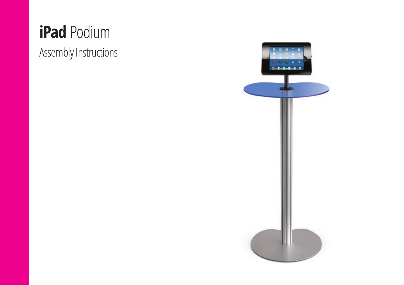## **iPad** Podium

Assembly Instructions

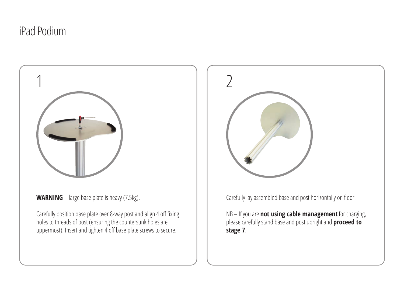## iPad Podium



**WARNING** – large base plate is heavy (7.5kg).

Carefully position base plate over 8-way post and align 4 off fixing holes to threads of post (ensuring the countersunk holes are uppermost). Insert and tighten 4 off base plate screws to secure.



Carefully lay assembled base and post horizontally on floor.

NB – If you are **not using cable management** for charging, please carefully stand base and post upright and **proceed to stage 7**.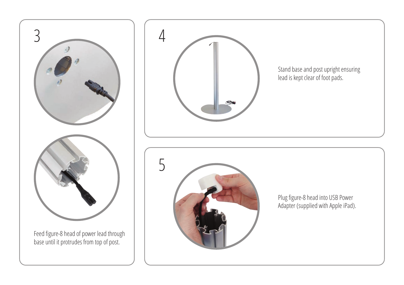

base until it protrudes from top of post.



Stand base and post upright ensuring lead is kept clear of foot pads.



Plug figure-8 head into USB Power Adapter (supplied with Apple iPad).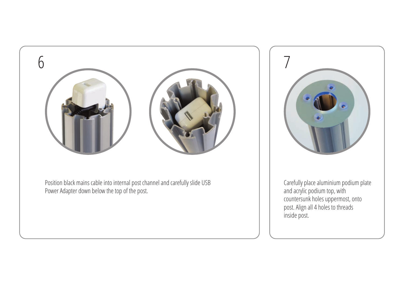

Position black mains cable into internal post channel and carefully slide USB Power Adapter down below the top of the post.



Carefully place aluminium podium plate and acrylic podium top, with countersunk holes uppermost, onto post. Align all 4 holes to threads inside post.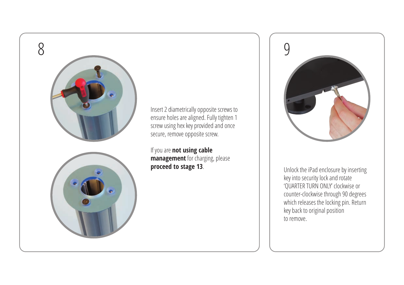

Insert 2 diametrically opposite screws to ensure holes are aligned. Fully tighten 1 screw using hex key provided and once secure, remove opposite screw.

If you are **not using cable management** for charging, please **proceed to stage 13**



. Unlock the iPad enclosure by inserting key into security lock and rotate 'QUARTER TURN ONLY' clockwise or counter-clockwise through 90 degrees which releases the locking pin. Return key back to original position to remove.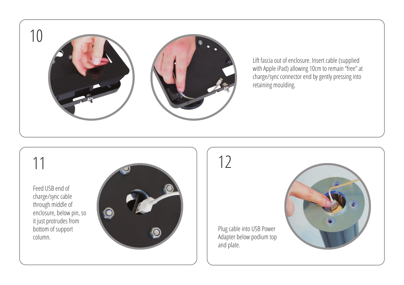

Lift fascia out of enclosure. Insert cable (supplied with Apple iPad) allowing 10cm to remain "free" at charge/sync connector end by gently pressing into retaining moulding.

Feed USB end of charge/sync cable through middle of enclosure, below pin, so it just protrudes from bottom of support column.



Plug cable into USB Power Adapter below podium top and plate.

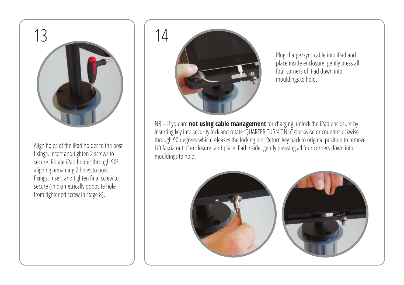

Align holes of the iPad holder to the post fixings. Insert and tighten 2 screws to secure. Rotate iPad holder through 90º, aligning remaining 2 holes to post fixings. Insert and tighten final screw to secure (in diametrically opposite hole from tightened screw in stage 8).



Plug charge/sync cable into iPad and place inside enclosure, gently press all four corners of iPad down into mouldings to hold.

NB – If you are **not using cable management** for charging, unlock the iPad enclosure by inserting key into security lock and rotate 'QUARTER TURN ONLY' clockwise or counterclockwise through 90 degrees which releases the locking pin. Return key back to original position to remove. Lift fascia out of enclosure, and place iPad inside, gently pressing all four corners down into mouldings to hold.